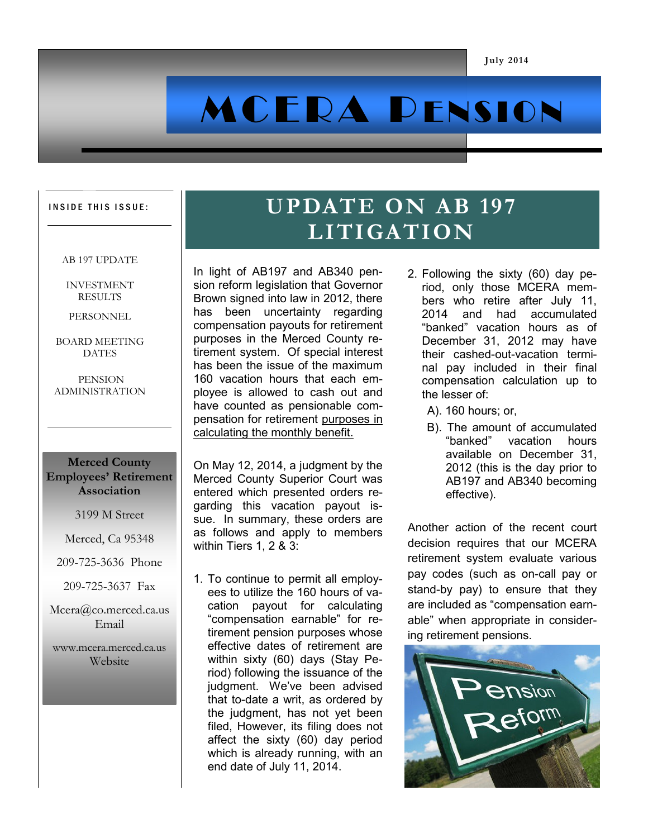# MCERA PENSION

#### INSIDE THIS ISSUE:

#### AB 197 UPDATE

INVESTMENT RESULTS

PERSONNEL

BOARD MEETING **DATES** 

PENSION ADMINISTRATION

#### **Merced County Employees' Retirement Association**

3199 M Street

Merced, Ca 95348

- 209-725-3636 Phone
- 209-725-3637 Fax

Mcera@co.merced.ca.us Email

www.mcera.merced.ca.us **Website** 

## **UPDATE ON AB 197 LITIGATION**

In light of AB197 and AB340 pension reform legislation that Governor Brown signed into law in 2012, there has been uncertainty regarding compensation payouts for retirement purposes in the Merced County retirement system. Of special interest has been the issue of the maximum 160 vacation hours that each employee is allowed to cash out and have counted as pensionable compensation for retirement purposes in calculating the monthly benefit.

On May 12, 2014, a judgment by the Merced County Superior Court was entered which presented orders regarding this vacation payout issue. In summary, these orders are as follows and apply to members within Tiers 1, 2 & 3:

1. To continue to permit all employees to utilize the 160 hours of vacation payout for calculating "compensation earnable" for retirement pension purposes whose effective dates of retirement are within sixty (60) days (Stay Period) following the issuance of the judgment. We've been advised that to-date a writ, as ordered by the judgment, has not yet been filed, However, its filing does not affect the sixty (60) day period which is already running, with an end date of July 11, 2014.

- 2. Following the sixty (60) day period, only those MCERA members who retire after July 11, 2014 and had accumulated "banked" vacation hours as of December 31, 2012 may have their cashed-out-vacation terminal pay included in their final compensation calculation up to the lesser of:
	- A). 160 hours; or,
	- B). The amount of accumulated "banked" vacation hours available on December 31, 2012 (this is the day prior to AB197 and AB340 becoming effective).

Another action of the recent court decision requires that our MCERA retirement system evaluate various pay codes (such as on-call pay or stand-by pay) to ensure that they are included as "compensation earnable" when appropriate in considering retirement pensions.